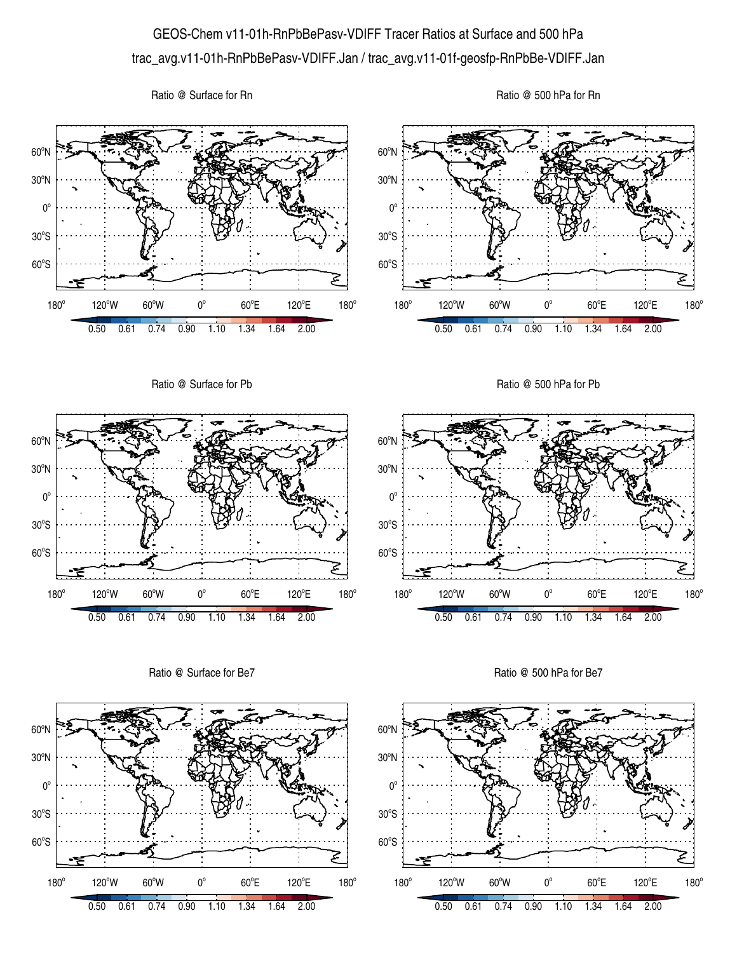## GEOS-Chem v11-01h-RnPbBePasv-VDIFF Tracer Ratios at Surface and 500 hPa trac\_avg.v11-01h-RnPbBePasv-VDIFF.Jan / trac\_avg.v11-01f-geosfp-RnPbBe-VDIFF.Jan

Ratio @ Surface for Rn





Ratio @ Surface for Be7



Ratio @ 500 hPa for Be7